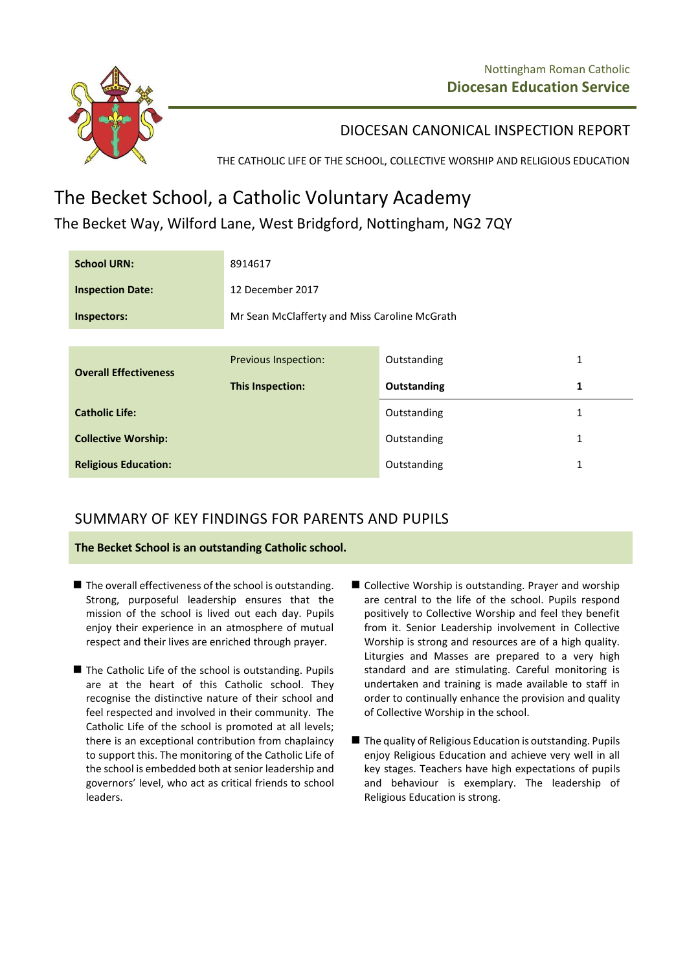

## DIOCESAN CANONICAL INSPECTION REPORT

THE CATHOLIC LIFE OF THE SCHOOL, COLLECTIVE WORSHIP AND RELIGIOUS EDUCATION

# The Becket School, a Catholic Voluntary Academy

The Becket Way, Wilford Lane, West Bridgford, Nottingham, NG2 7QY

| <b>School URN:</b>           | 8914617                                       |             |              |
|------------------------------|-----------------------------------------------|-------------|--------------|
| <b>Inspection Date:</b>      | 12 December 2017                              |             |              |
| Inspectors:                  | Mr Sean McClafferty and Miss Caroline McGrath |             |              |
|                              |                                               |             |              |
| <b>Overall Effectiveness</b> | <b>Previous Inspection:</b>                   | Outstanding | 1            |
|                              | This Inspection:                              | Outstanding | 1            |
| <b>Catholic Life:</b>        |                                               | Outstanding | 1            |
| <b>Collective Worship:</b>   |                                               | Outstanding | 1            |
| <b>Religious Education:</b>  |                                               | Outstanding | $\mathbf{1}$ |

# SUMMARY OF KEY FINDINGS FOR PARENTS AND PUPILS

**The Becket School is an outstanding Catholic school.**

- $\blacksquare$  The overall effectiveness of the school is outstanding. Strong, purposeful leadership ensures that the mission of the school is lived out each day. Pupils enjoy their experience in an atmosphere of mutual respect and their lives are enriched through prayer.
- $\blacksquare$  The Catholic Life of the school is outstanding. Pupils are at the heart of this Catholic school. They recognise the distinctive nature of their school and feel respected and involved in their community. The Catholic Life of the school is promoted at all levels; there is an exceptional contribution from chaplaincy to support this. The monitoring of the Catholic Life of the school is embedded both at senior leadership and governors' level, who act as critical friends to school leaders.
- Collective Worship is outstanding. Prayer and worship are central to the life of the school. Pupils respond positively to Collective Worship and feel they benefit from it. Senior Leadership involvement in Collective Worship is strong and resources are of a high quality. Liturgies and Masses are prepared to a very high standard and are stimulating. Careful monitoring is undertaken and training is made available to staff in order to continually enhance the provision and quality of Collective Worship in the school.
- $\blacksquare$  The quality of Religious Education is outstanding. Pupils enjoy Religious Education and achieve very well in all key stages. Teachers have high expectations of pupils and behaviour is exemplary. The leadership of Religious Education is strong.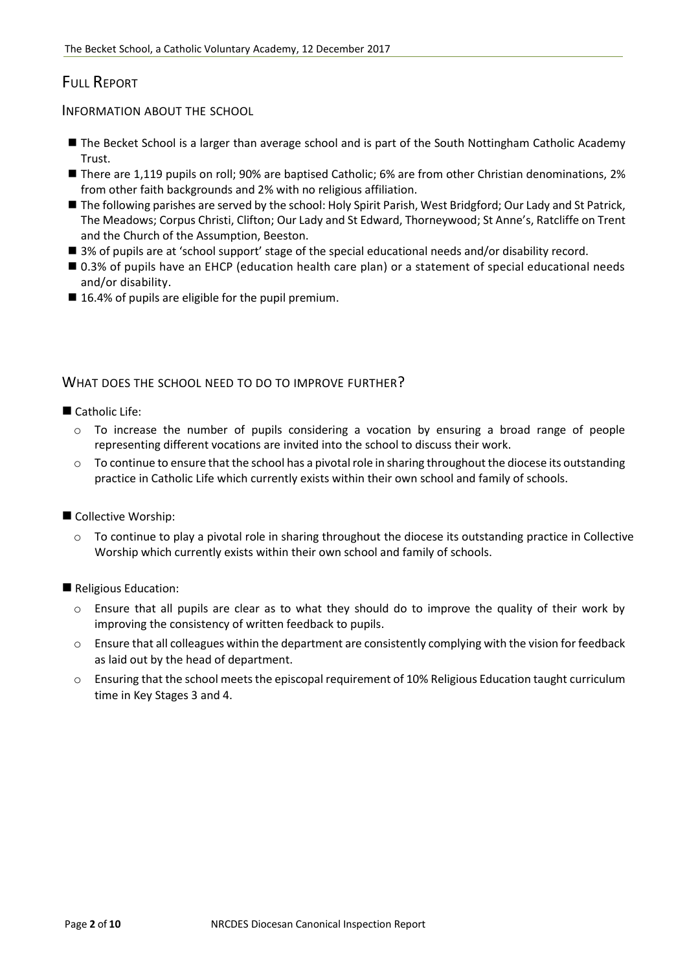# FULL REPORT

INFORMATION ABOUT THE SCHOOL

- The Becket School is a larger than average school and is part of the South Nottingham Catholic Academy Trust.
- There are 1,119 pupils on roll; 90% are baptised Catholic; 6% are from other Christian denominations, 2% from other faith backgrounds and 2% with no religious affiliation.
- The following parishes are served by the school: Holy Spirit Parish, West Bridgford; Our Lady and St Patrick, The Meadows; Corpus Christi, Clifton; Our Lady and St Edward, Thorneywood; St Anne's, Ratcliffe on Trent and the Church of the Assumption, Beeston.
- 3% of pupils are at 'school support' stage of the special educational needs and/or disability record.
- 0.3% of pupils have an EHCP (education health care plan) or a statement of special educational needs and/or disability.
- 16.4% of pupils are eligible for the pupil premium.

## WHAT DOES THE SCHOOL NEED TO DO TO IMPROVE FURTHER?

#### Catholic Life:

- o To increase the number of pupils considering a vocation by ensuring a broad range of people representing different vocations are invited into the school to discuss their work.
- $\circ$  To continue to ensure that the school has a pivotal role in sharing throughout the diocese its outstanding practice in Catholic Life which currently exists within their own school and family of schools.
- Collective Worship:
	- $\circ$  To continue to play a pivotal role in sharing throughout the diocese its outstanding practice in Collective Worship which currently exists within their own school and family of schools.

Religious Education:

- o Ensure that all pupils are clear as to what they should do to improve the quality of their work by improving the consistency of written feedback to pupils.
- o Ensure that all colleagues within the department are consistently complying with the vision for feedback as laid out by the head of department.
- o Ensuring that the school meets the episcopal requirement of 10% Religious Education taught curriculum time in Key Stages 3 and 4.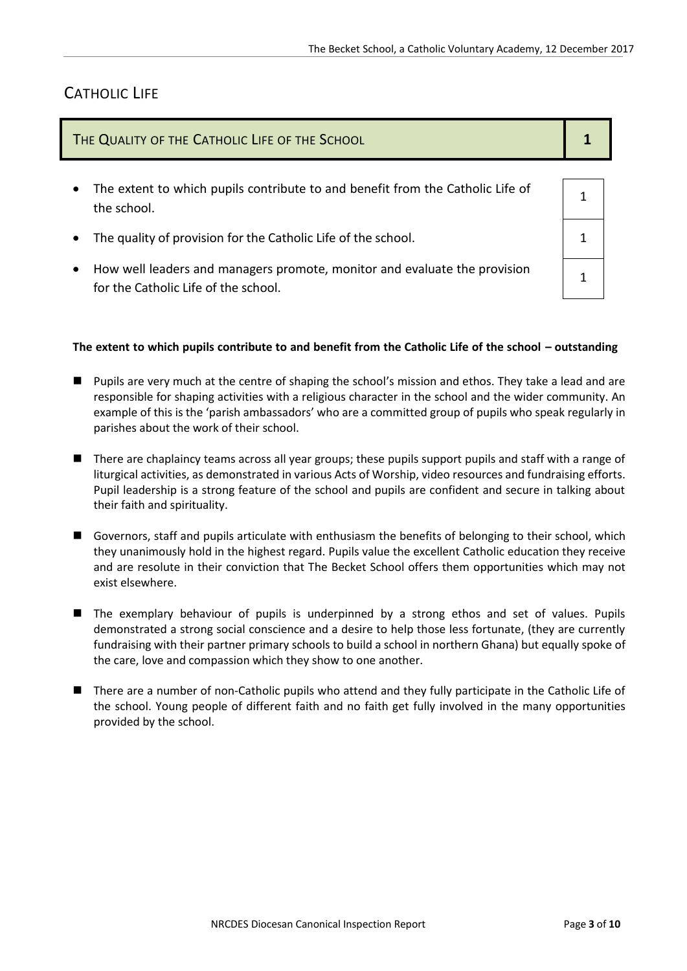# CATHOLIC LIFE

| THE QUALITY OF THE CATHOLIC LIFE OF THE SCHOOL |                                                                                                                   |  |
|------------------------------------------------|-------------------------------------------------------------------------------------------------------------------|--|
|                                                | The extent to which pupils contribute to and benefit from the Catholic Life of<br>the school.                     |  |
|                                                | The quality of provision for the Catholic Life of the school.                                                     |  |
|                                                | How well leaders and managers promote, monitor and evaluate the provision<br>for the Catholic Life of the school. |  |
|                                                |                                                                                                                   |  |

#### The extent to which pupils contribute to and benefit from the Catholic Life of the school - outstanding

- **Pupils are very much at the centre of shaping the school's mission and ethos. They take a lead and are** responsible for shaping activities with a religious character in the school and the wider community. An example of this is the 'parish ambassadors' who are a committed group of pupils who speak regularly in parishes about the work of their school.
- There are chaplaincy teams across all year groups; these pupils support pupils and staff with a range of liturgical activities, as demonstrated in various Acts of Worship, video resources and fundraising efforts. Pupil leadership is a strong feature of the school and pupils are confident and secure in talking about their faith and spirituality.
- Governors, staff and pupils articulate with enthusiasm the benefits of belonging to their school, which they unanimously hold in the highest regard. Pupils value the excellent Catholic education they receive and are resolute in their conviction that The Becket School offers them opportunities which may not exist elsewhere.
- The exemplary behaviour of pupils is underpinned by a strong ethos and set of values. Pupils demonstrated a strong social conscience and a desire to help those less fortunate, (they are currently fundraising with their partner primary schools to build a school in northern Ghana) but equally spoke of the care, love and compassion which they show to one another.
- There are a number of non-Catholic pupils who attend and they fully participate in the Catholic Life of the school. Young people of different faith and no faith get fully involved in the many opportunities provided by the school.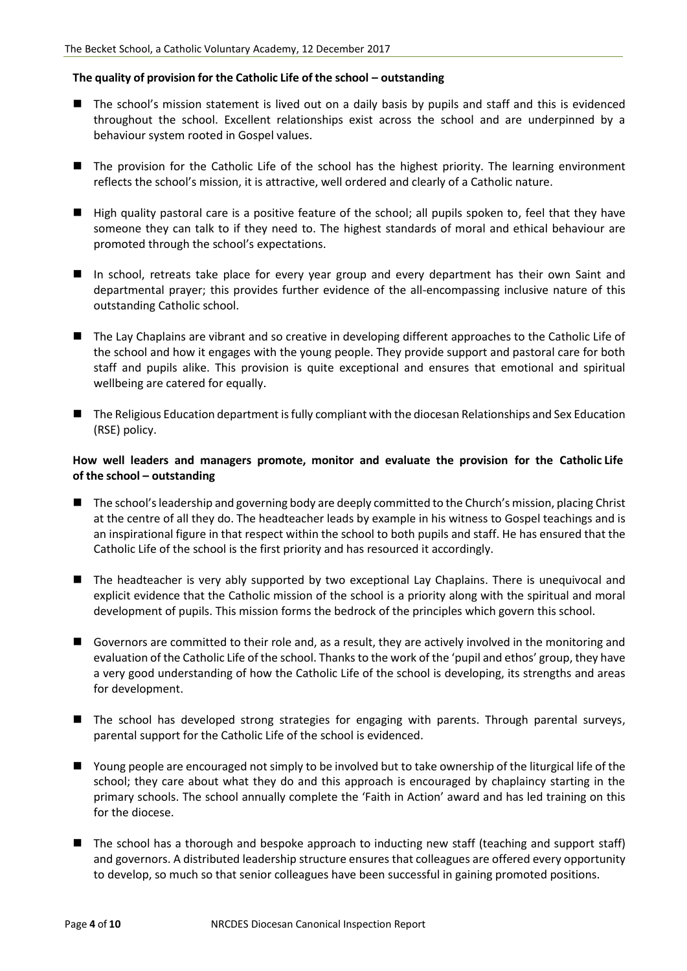#### **The quality of provision for the Catholic Life of the school – outstanding**

- The school's mission statement is lived out on a daily basis by pupils and staff and this is evidenced throughout the school. Excellent relationships exist across the school and are underpinned by a behaviour system rooted in Gospel values.
- The provision for the Catholic Life of the school has the highest priority. The learning environment reflects the school's mission, it is attractive, well ordered and clearly of a Catholic nature.
- $\blacksquare$  High quality pastoral care is a positive feature of the school; all pupils spoken to, feel that they have someone they can talk to if they need to. The highest standards of moral and ethical behaviour are promoted through the school's expectations.
- In school, retreats take place for every year group and every department has their own Saint and departmental prayer; this provides further evidence of the all-encompassing inclusive nature of this outstanding Catholic school.
- The Lay Chaplains are vibrant and so creative in developing different approaches to the Catholic Life of the school and how it engages with the young people. They provide support and pastoral care for both staff and pupils alike. This provision is quite exceptional and ensures that emotional and spiritual wellbeing are catered for equally.
- $\blacksquare$  The Religious Education department is fully compliant with the diocesan Relationships and Sex Education (RSE) policy.

#### **How well leaders and managers promote, monitor and evaluate the provision for the Catholic Life of the school – outstanding**

- The school's leadership and governing body are deeply committed to the Church's mission, placing Christ at the centre of all they do. The headteacher leads by example in his witness to Gospel teachings and is an inspirational figure in that respect within the school to both pupils and staff. He has ensured that the Catholic Life of the school is the first priority and has resourced it accordingly.
- The headteacher is very ably supported by two exceptional Lay Chaplains. There is unequivocal and explicit evidence that the Catholic mission of the school is a priority along with the spiritual and moral development of pupils. This mission forms the bedrock of the principles which govern this school.
- **E** Governors are committed to their role and, as a result, they are actively involved in the monitoring and evaluation of the Catholic Life of the school. Thanks to the work of the 'pupil and ethos' group, they have a very good understanding of how the Catholic Life of the school is developing, its strengths and areas for development.
- The school has developed strong strategies for engaging with parents. Through parental surveys, parental support for the Catholic Life of the school is evidenced.
- Young people are encouraged not simply to be involved but to take ownership of the liturgical life of the school; they care about what they do and this approach is encouraged by chaplaincy starting in the primary schools. The school annually complete the 'Faith in Action' award and has led training on this for the diocese.
- $\blacksquare$  The school has a thorough and bespoke approach to inducting new staff (teaching and support staff) and governors. A distributed leadership structure ensures that colleagues are offered every opportunity to develop, so much so that senior colleagues have been successful in gaining promoted positions.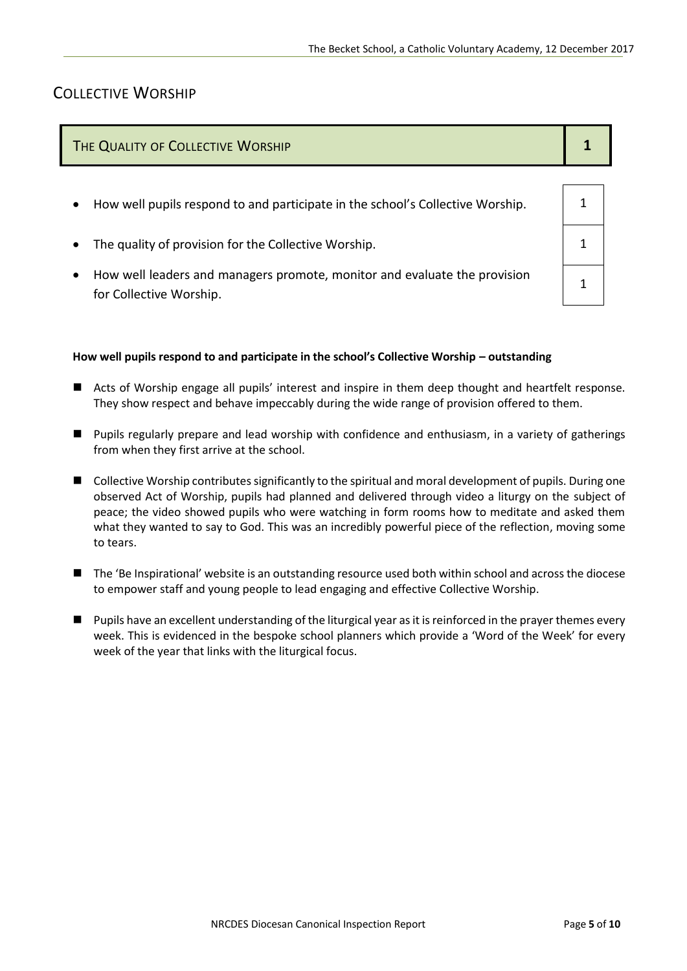## COLLECTIVE WORSHIP

| THE QUALITY OF COLLECTIVE WORSHIP                                              |  |
|--------------------------------------------------------------------------------|--|
| How well pupils respond to and participate in the school's Collective Worship. |  |
| The quality of provision for the Collective Worship.                           |  |

 How well leaders and managers promote, monitor and evaluate the provision for Collective Worship.

#### **How well pupils respond to and participate in the school's Collective Worship – outstanding**

- Acts of Worship engage all pupils' interest and inspire in them deep thought and heartfelt response. They show respect and behave impeccably during the wide range of provision offered to them.
- **Pupils regularly prepare and lead worship with confidence and enthusiasm, in a variety of gatherings** from when they first arrive at the school.
- Collective Worship contributes significantly to the spiritual and moral development of pupils. During one observed Act of Worship, pupils had planned and delivered through video a liturgy on the subject of peace; the video showed pupils who were watching in form rooms how to meditate and asked them what they wanted to say to God. This was an incredibly powerful piece of the reflection, moving some to tears.
- The 'Be Inspirational' website is an outstanding resource used both within school and across the diocese to empower staff and young people to lead engaging and effective Collective Worship.
- Pupils have an excellent understanding of the liturgical year as it is reinforced in the prayer themes every week. This is evidenced in the bespoke school planners which provide a 'Word of the Week' for every week of the year that links with the liturgical focus.

1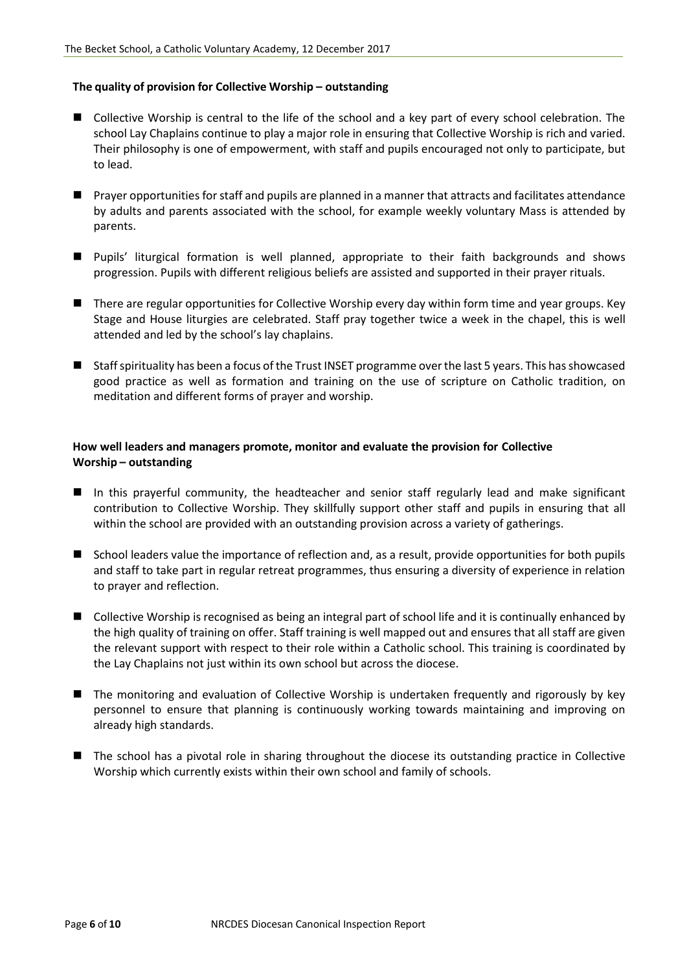#### **The quality of provision for Collective Worship – outstanding**

- Collective Worship is central to the life of the school and a key part of every school celebration. The school Lay Chaplains continue to play a major role in ensuring that Collective Worship is rich and varied. Their philosophy is one of empowerment, with staff and pupils encouraged not only to participate, but to lead.
- **Perayer opportunities for staff and pupils are planned in a manner that attracts and facilitates attendance** by adults and parents associated with the school, for example weekly voluntary Mass is attended by parents.
- Pupils' liturgical formation is well planned, appropriate to their faith backgrounds and shows progression. Pupils with different religious beliefs are assisted and supported in their prayer rituals.
- There are regular opportunities for Collective Worship every day within form time and year groups. Key Stage and House liturgies are celebrated. Staff pray together twice a week in the chapel, this is well attended and led by the school's lay chaplains.
- Staff spirituality has been a focus of the Trust INSET programme over the last 5 years. This has showcased good practice as well as formation and training on the use of scripture on Catholic tradition, on meditation and different forms of prayer and worship.

#### **How well leaders and managers promote, monitor and evaluate the provision for Collective Worship – outstanding**

- In this prayerful community, the headteacher and senior staff regularly lead and make significant contribution to Collective Worship. They skillfully support other staff and pupils in ensuring that all within the school are provided with an outstanding provision across a variety of gatherings.
- School leaders value the importance of reflection and, as a result, provide opportunities for both pupils and staff to take part in regular retreat programmes, thus ensuring a diversity of experience in relation to prayer and reflection.
- Collective Worship is recognised as being an integral part of school life and it is continually enhanced by the high quality of training on offer. Staff training is well mapped out and ensures that all staff are given the relevant support with respect to their role within a Catholic school. This training is coordinated by the Lay Chaplains not just within its own school but across the diocese.
- The monitoring and evaluation of Collective Worship is undertaken frequently and rigorously by key personnel to ensure that planning is continuously working towards maintaining and improving on already high standards.
- The school has a pivotal role in sharing throughout the diocese its outstanding practice in Collective Worship which currently exists within their own school and family of schools.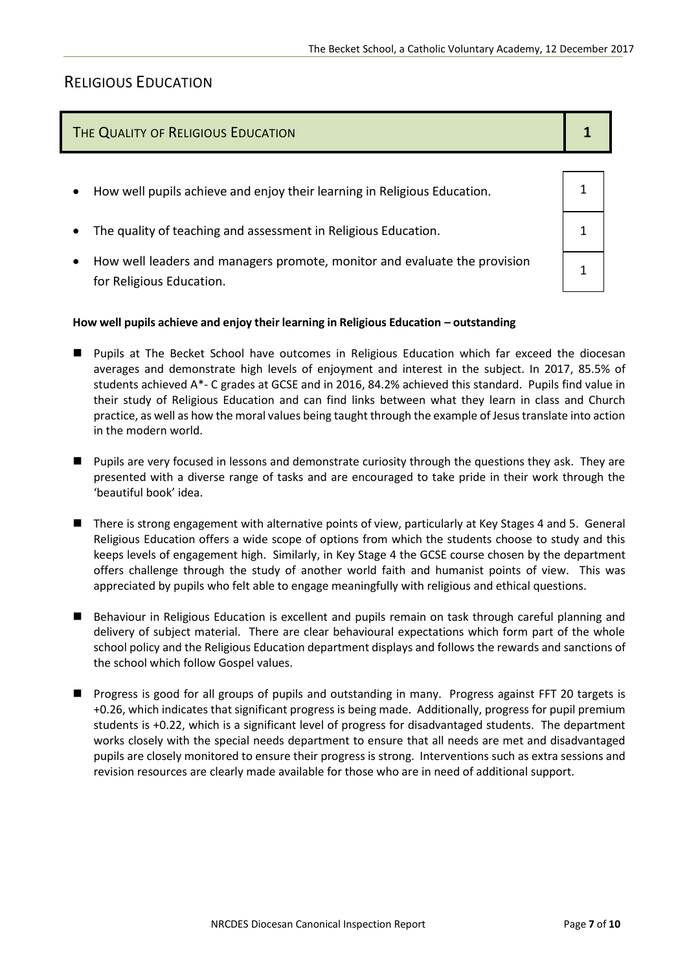## RELIGIOUS EDUCATION

### The Quality of Religious Education **1 1 1 1 1**

How well pupils achieve and enjoy their learning in Religious Education.  $\vert$  1 The quality of teaching and assessment in Religious Education. 1 1 How well leaders and managers promote, monitor and evaluate the provision for Religious Education. 1

#### **How well pupils achieve and enjoy their learning in Religious Education – outstanding**

- Pupils at The Becket School have outcomes in Religious Education which far exceed the diocesan averages and demonstrate high levels of enjoyment and interest in the subject. In 2017, 85.5% of students achieved A\*- C grades at GCSE and in 2016, 84.2% achieved this standard. Pupils find value in their study of Religious Education and can find links between what they learn in class and Church practice, as well as how the moral values being taught through the example of Jesus translate into action in the modern world.
- **Pupils are very focused in lessons and demonstrate curiosity through the questions they ask. They are** presented with a diverse range of tasks and are encouraged to take pride in their work through the 'beautiful book' idea.
- There is strong engagement with alternative points of view, particularly at Key Stages 4 and 5. General Religious Education offers a wide scope of options from which the students choose to study and this keeps levels of engagement high. Similarly, in Key Stage 4 the GCSE course chosen by the department offers challenge through the study of another world faith and humanist points of view. This was appreciated by pupils who felt able to engage meaningfully with religious and ethical questions.
- **Behaviour in Religious Education is excellent and pupils remain on task through careful planning and** delivery of subject material. There are clear behavioural expectations which form part of the whole school policy and the Religious Education department displays and follows the rewards and sanctions of the school which follow Gospel values.
- **Progress is good for all groups of pupils and outstanding in many. Progress against FFT 20 targets is** +0.26, which indicates that significant progress is being made. Additionally, progress for pupil premium students is +0.22, which is a significant level of progress for disadvantaged students. The department works closely with the special needs department to ensure that all needs are met and disadvantaged pupils are closely monitored to ensure their progress is strong. Interventions such as extra sessions and revision resources are clearly made available for those who are in need of additional support.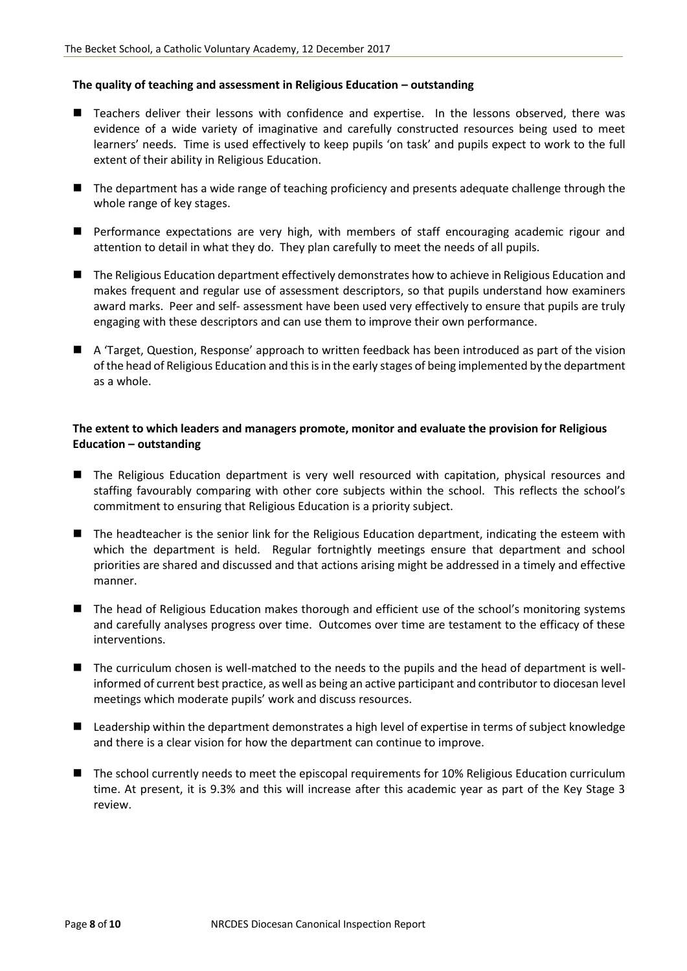#### **The quality of teaching and assessment in Religious Education – outstanding**

- Teachers deliver their lessons with confidence and expertise. In the lessons observed, there was evidence of a wide variety of imaginative and carefully constructed resources being used to meet learners' needs. Time is used effectively to keep pupils 'on task' and pupils expect to work to the full extent of their ability in Religious Education.
- The department has a wide range of teaching proficiency and presents adequate challenge through the whole range of key stages.
- **Performance expectations are very high, with members of staff encouraging academic rigour and** attention to detail in what they do. They plan carefully to meet the needs of all pupils.
- The Religious Education department effectively demonstrates how to achieve in Religious Education and makes frequent and regular use of assessment descriptors, so that pupils understand how examiners award marks. Peer and self- assessment have been used very effectively to ensure that pupils are truly engaging with these descriptors and can use them to improve their own performance.
- A 'Target, Question, Response' approach to written feedback has been introduced as part of the vision of the head of Religious Education and this is in the early stages of being implemented by the department as a whole.

#### **The extent to which leaders and managers promote, monitor and evaluate the provision for Religious Education – outstanding**

- The Religious Education department is very well resourced with capitation, physical resources and staffing favourably comparing with other core subjects within the school. This reflects the school's commitment to ensuring that Religious Education is a priority subject.
- The headteacher is the senior link for the Religious Education department, indicating the esteem with which the department is held. Regular fortnightly meetings ensure that department and school priorities are shared and discussed and that actions arising might be addressed in a timely and effective manner.
- The head of Religious Education makes thorough and efficient use of the school's monitoring systems and carefully analyses progress over time. Outcomes over time are testament to the efficacy of these interventions.
- The curriculum chosen is well-matched to the needs to the pupils and the head of department is wellinformed of current best practice, as well as being an active participant and contributor to diocesan level meetings which moderate pupils' work and discuss resources.
- Leadership within the department demonstrates a high level of expertise in terms of subject knowledge and there is a clear vision for how the department can continue to improve.
- The school currently needs to meet the episcopal requirements for 10% Religious Education curriculum time. At present, it is 9.3% and this will increase after this academic year as part of the Key Stage 3 review.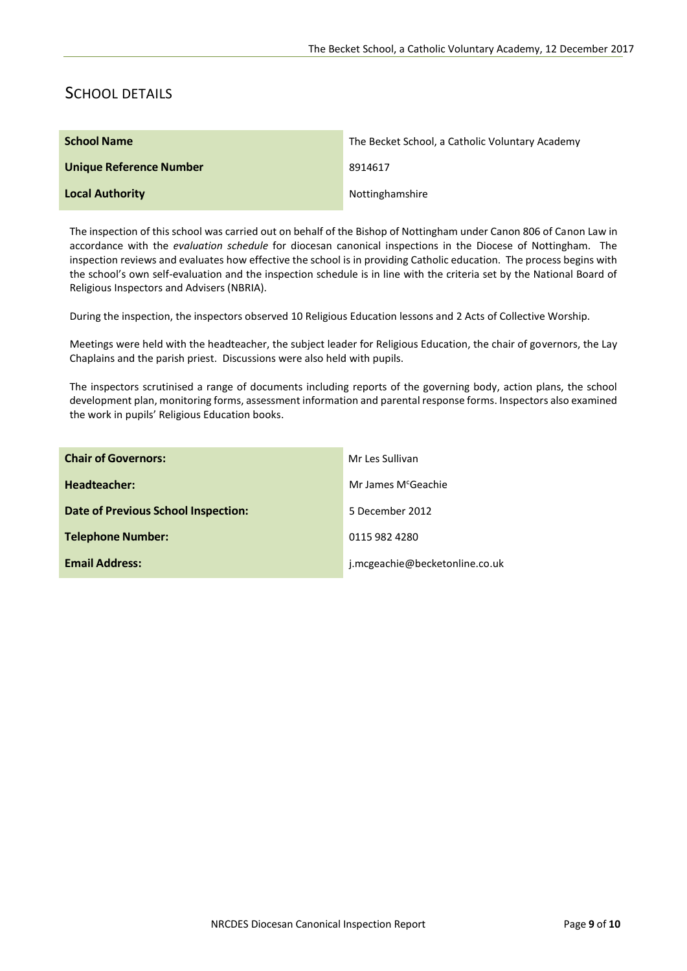## SCHOOL DETAILS

| <b>School Name</b>      | The Becket School, a Catholic Voluntary Academy |
|-------------------------|-------------------------------------------------|
| Unique Reference Number | 8914617                                         |
| <b>Local Authority</b>  | Nottinghamshire                                 |

The inspection of this school was carried out on behalf of the Bishop of Nottingham under Canon 806 of Canon Law in accordance with the *evaluation schedule* for diocesan canonical inspections in the Diocese of Nottingham. The inspection reviews and evaluates how effective the school is in providing Catholic education. The process begins with the school's own self-evaluation and the inspection schedule is in line with the criteria set by the National Board of Religious Inspectors and Advisers (NBRIA).

During the inspection, the inspectors observed 10 Religious Education lessons and 2 Acts of Collective Worship.

Meetings were held with the headteacher, the subject leader for Religious Education, the chair of governors, the Lay Chaplains and the parish priest. Discussions were also held with pupils.

The inspectors scrutinised a range of documents including reports of the governing body, action plans, the school development plan, monitoring forms, assessment information and parental response forms. Inspectors also examined the work in pupils' Religious Education books.

| <b>Chair of Governors:</b>                 | Mr Les Sullivan                 |
|--------------------------------------------|---------------------------------|
| Headteacher:                               | Mr James M <sup>c</sup> Geachie |
| <b>Date of Previous School Inspection:</b> | 5 December 2012                 |
| <b>Telephone Number:</b>                   | 0115 982 4280                   |
| <b>Email Address:</b>                      | j.mcgeachie@becketonline.co.uk  |